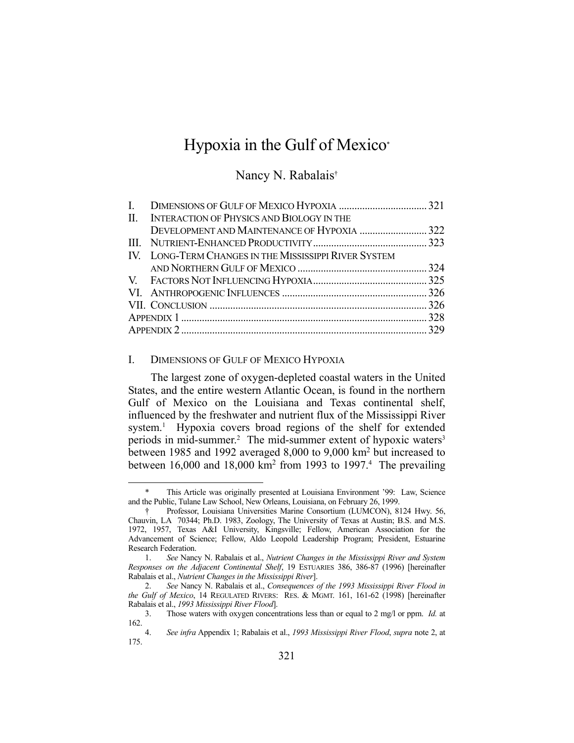# Hypoxia in the Gulf of Mexico\*

# Nancy N. Rabalais†

|  | II. INTERACTION OF PHYSICS AND BIOLOGY IN THE         |  |
|--|-------------------------------------------------------|--|
|  |                                                       |  |
|  |                                                       |  |
|  | IV. LONG-TERM CHANGES IN THE MISSISSIPPI RIVER SYSTEM |  |
|  |                                                       |  |
|  |                                                       |  |
|  |                                                       |  |
|  |                                                       |  |
|  |                                                       |  |
|  |                                                       |  |

### I. DIMENSIONS OF GULF OF MEXICO HYPOXIA

1

 The largest zone of oxygen-depleted coastal waters in the United States, and the entire western Atlantic Ocean, is found in the northern Gulf of Mexico on the Louisiana and Texas continental shelf, influenced by the freshwater and nutrient flux of the Mississippi River system.<sup>1</sup> Hypoxia covers broad regions of the shelf for extended periods in mid-summer.<sup>2</sup> The mid-summer extent of hypoxic waters<sup>3</sup> between 1985 and 1992 averaged 8,000 to 9,000 km<sup>2</sup> but increased to between  $16,000$  and  $18,000$  km<sup>2</sup> from 1993 to 1997.<sup>4</sup> The prevailing

This Article was originally presented at Louisiana Environment '99: Law, Science and the Public, Tulane Law School, New Orleans, Louisiana, on February 26, 1999.

 <sup>†</sup> Professor, Louisiana Universities Marine Consortium (LUMCON), 8124 Hwy. 56, Chauvin, LA 70344; Ph.D. 1983, Zoology, The University of Texas at Austin; B.S. and M.S. 1972, 1957, Texas A&I University, Kingsville; Fellow, American Association for the Advancement of Science; Fellow, Aldo Leopold Leadership Program; President, Estuarine Research Federation.

 <sup>1.</sup> *See* Nancy N. Rabalais et al., *Nutrient Changes in the Mississippi River and System Responses on the Adjacent Continental Shelf*, 19 ESTUARIES 386, 386-87 (1996) [hereinafter Rabalais et al., *Nutrient Changes in the Mississippi River*].

 <sup>2.</sup> *See* Nancy N. Rabalais et al., *Consequences of the 1993 Mississippi River Flood in the Gulf of Mexico*, 14 REGULATED RIVERS: RES. & MGMT. 161, 161-62 (1998) [hereinafter Rabalais et al., *1993 Mississippi River Flood*].

 <sup>3.</sup> Those waters with oxygen concentrations less than or equal to 2 mg/l or ppm. *Id.* at 162.

 <sup>4.</sup> *See infra* Appendix 1; Rabalais et al., *1993 Mississippi River Flood*, *supra* note 2, at 175.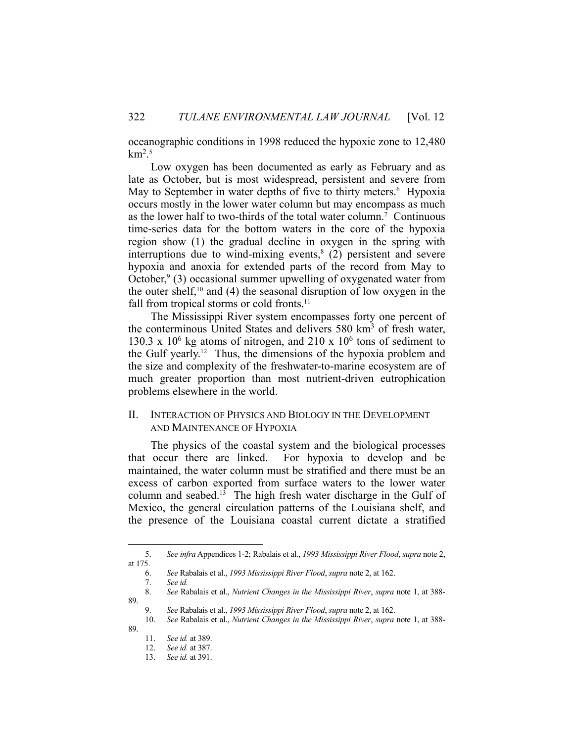oceanographic conditions in 1998 reduced the hypoxic zone to 12,480  $km<sup>2.5</sup>$ 

 Low oxygen has been documented as early as February and as late as October, but is most widespread, persistent and severe from May to September in water depths of five to thirty meters.<sup>6</sup> Hypoxia occurs mostly in the lower water column but may encompass as much as the lower half to two-thirds of the total water column.7 Continuous time-series data for the bottom waters in the core of the hypoxia region show (1) the gradual decline in oxygen in the spring with interruptions due to wind-mixing events, $8(2)$  persistent and severe hypoxia and anoxia for extended parts of the record from May to October,<sup>9</sup> (3) occasional summer upwelling of oxygenated water from the outer shelf,<sup>10</sup> and (4) the seasonal disruption of low oxygen in the fall from tropical storms or cold fronts.<sup>11</sup>

 The Mississippi River system encompasses forty one percent of the conterminous United States and delivers 580 km<sup>3</sup> of fresh water, 130.3 x  $10^6$  kg atoms of nitrogen, and 210 x  $10^6$  tons of sediment to the Gulf yearly.<sup>12</sup> Thus, the dimensions of the hypoxia problem and the size and complexity of the freshwater-to-marine ecosystem are of much greater proportion than most nutrient-driven eutrophication problems elsewhere in the world.

## II. INTERACTION OF PHYSICS AND BIOLOGY IN THE DEVELOPMENT AND MAINTENANCE OF HYPOXIA

 The physics of the coastal system and the biological processes that occur there are linked. For hypoxia to develop and be maintained, the water column must be stratified and there must be an excess of carbon exported from surface waters to the lower water column and seabed.13 The high fresh water discharge in the Gulf of Mexico, the general circulation patterns of the Louisiana shelf, and the presence of the Louisiana coastal current dictate a stratified

89.

 <sup>5.</sup> *See infra* Appendices 1-2; Rabalais et al., *1993 Mississippi River Flood*, *supra* note 2, at 175.

 <sup>6.</sup> *See* Rabalais et al., *1993 Mississippi River Flood*, *supra* note 2, at 162.

 <sup>7.</sup> *See id.*

 <sup>8.</sup> *See* Rabalais et al., *Nutrient Changes in the Mississippi River*, *supra* note 1, at 388- 89.

 <sup>9.</sup> *See* Rabalais et al., *1993 Mississippi River Flood*, *supra* note 2, at 162.

 <sup>10.</sup> *See* Rabalais et al., *Nutrient Changes in the Mississippi River*, *supra* note 1, at 388-

 <sup>11.</sup> *See id.* at 389.

 <sup>12.</sup> *See id.* at 387.

 <sup>13.</sup> *See id.* at 391.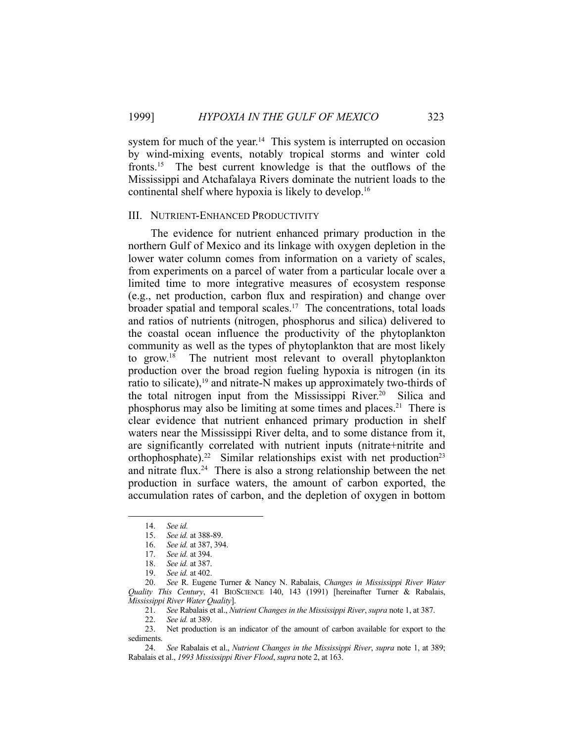system for much of the year.<sup>14</sup> This system is interrupted on occasion by wind-mixing events, notably tropical storms and winter cold fronts.15 The best current knowledge is that the outflows of the Mississippi and Atchafalaya Rivers dominate the nutrient loads to the continental shelf where hypoxia is likely to develop.16

## III. NUTRIENT-ENHANCED PRODUCTIVITY

 The evidence for nutrient enhanced primary production in the northern Gulf of Mexico and its linkage with oxygen depletion in the lower water column comes from information on a variety of scales, from experiments on a parcel of water from a particular locale over a limited time to more integrative measures of ecosystem response (e.g., net production, carbon flux and respiration) and change over broader spatial and temporal scales.<sup>17</sup> The concentrations, total loads and ratios of nutrients (nitrogen, phosphorus and silica) delivered to the coastal ocean influence the productivity of the phytoplankton community as well as the types of phytoplankton that are most likely to grow.<sup>18</sup> The nutrient most relevant to overall phytoplankton production over the broad region fueling hypoxia is nitrogen (in its ratio to silicate), $19$  and nitrate-N makes up approximately two-thirds of the total nitrogen input from the Mississippi River.<sup>20</sup> Silica and phosphorus may also be limiting at some times and places.21 There is clear evidence that nutrient enhanced primary production in shelf waters near the Mississippi River delta, and to some distance from it, are significantly correlated with nutrient inputs (nitrate+nitrite and orthophosphate).<sup>22</sup> Similar relationships exist with net production<sup>23</sup> and nitrate flux.<sup>24</sup> There is also a strong relationship between the net production in surface waters, the amount of carbon exported, the accumulation rates of carbon, and the depletion of oxygen in bottom

 <sup>14.</sup> *See id.*

 <sup>15.</sup> *See id.* at 388-89.

 <sup>16.</sup> *See id.* at 387, 394.

 <sup>17.</sup> *See id.* at 394.

 <sup>18.</sup> *See id.* at 387.

 <sup>19.</sup> *See id.* at 402.

 <sup>20.</sup> *See* R. Eugene Turner & Nancy N. Rabalais, *Changes in Mississippi River Water Quality This Century*, 41 BIOSCIENCE 140, 143 (1991) [hereinafter Turner & Rabalais, *Mississippi River Water Quality*].

 <sup>21.</sup> *See* Rabalais et al., *Nutrient Changes in the Mississippi River*, *supra* note 1, at 387.

 <sup>22.</sup> *See id.* at 389.

Net production is an indicator of the amount of carbon available for export to the sediments.

 <sup>24.</sup> *See* Rabalais et al., *Nutrient Changes in the Mississippi River*, *supra* note 1, at 389; Rabalais et al., *1993 Mississippi River Flood*, *supra* note 2, at 163.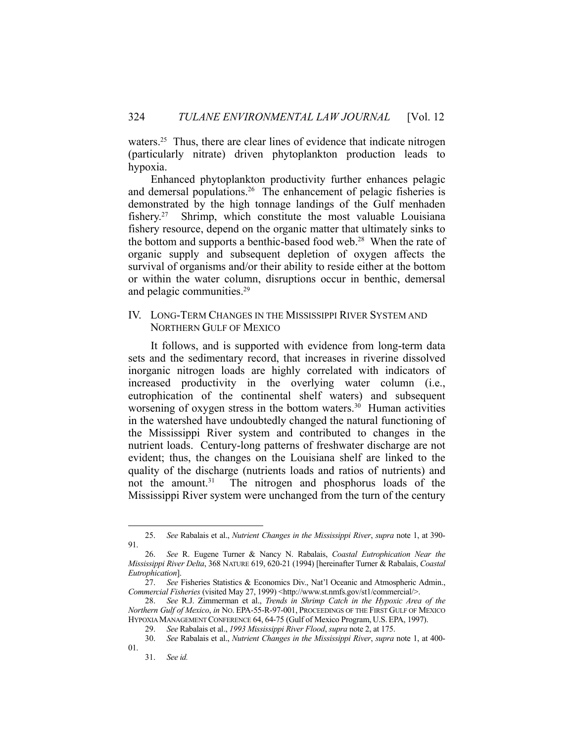waters.<sup>25</sup> Thus, there are clear lines of evidence that indicate nitrogen (particularly nitrate) driven phytoplankton production leads to hypoxia.

 Enhanced phytoplankton productivity further enhances pelagic and demersal populations.<sup>26</sup> The enhancement of pelagic fisheries is demonstrated by the high tonnage landings of the Gulf menhaden fishery.<sup>27</sup> Shrimp, which constitute the most valuable Louisiana fishery resource, depend on the organic matter that ultimately sinks to the bottom and supports a benthic-based food web.<sup>28</sup> When the rate of organic supply and subsequent depletion of oxygen affects the survival of organisms and/or their ability to reside either at the bottom or within the water column, disruptions occur in benthic, demersal and pelagic communities.<sup>29</sup>

# IV. LONG-TERM CHANGES IN THE MISSISSIPPI RIVER SYSTEM AND NORTHERN GULF OF MEXICO

 It follows, and is supported with evidence from long-term data sets and the sedimentary record, that increases in riverine dissolved inorganic nitrogen loads are highly correlated with indicators of increased productivity in the overlying water column (i.e., eutrophication of the continental shelf waters) and subsequent worsening of oxygen stress in the bottom waters.<sup>30</sup> Human activities in the watershed have undoubtedly changed the natural functioning of the Mississippi River system and contributed to changes in the nutrient loads. Century-long patterns of freshwater discharge are not evident; thus, the changes on the Louisiana shelf are linked to the quality of the discharge (nutrients loads and ratios of nutrients) and not the amount.<sup>31</sup> The nitrogen and phosphorus loads of the Mississippi River system were unchanged from the turn of the century

 <sup>25.</sup> *See* Rabalais et al., *Nutrient Changes in the Mississippi River*, *supra* note 1, at 390- 91.

 <sup>26.</sup> *See* R. Eugene Turner & Nancy N. Rabalais, *Coastal Eutrophication Near the Mississippi River Delta*, 368 NATURE 619, 620-21 (1994) [hereinafter Turner & Rabalais, *Coastal Eutrophication*].

 <sup>27.</sup> *See* Fisheries Statistics & Economics Div., Nat'l Oceanic and Atmospheric Admin., *Commercial Fisheries* (visited May 27, 1999) <http://www.st.nmfs.gov/st1/commercial/>.

 <sup>28.</sup> *See* R.J. Zimmerman et al., *Trends in Shrimp Catch in the Hypoxic Area of the Northern Gulf of Mexico*, *in* NO. EPA-55-R-97-001, PROCEEDINGS OF THE FIRST GULF OF MEXICO HYPOXIA MANAGEMENT CONFERENCE 64, 64-75 (Gulf of Mexico Program, U.S. EPA, 1997). 29. *See* Rabalais et al., *1993 Mississippi River Flood*, *supra* note 2, at 175.

 <sup>30.</sup> *See* Rabalais et al., *Nutrient Changes in the Mississippi River*, *supra* note 1, at 400- 01.

 <sup>31.</sup> *See id.*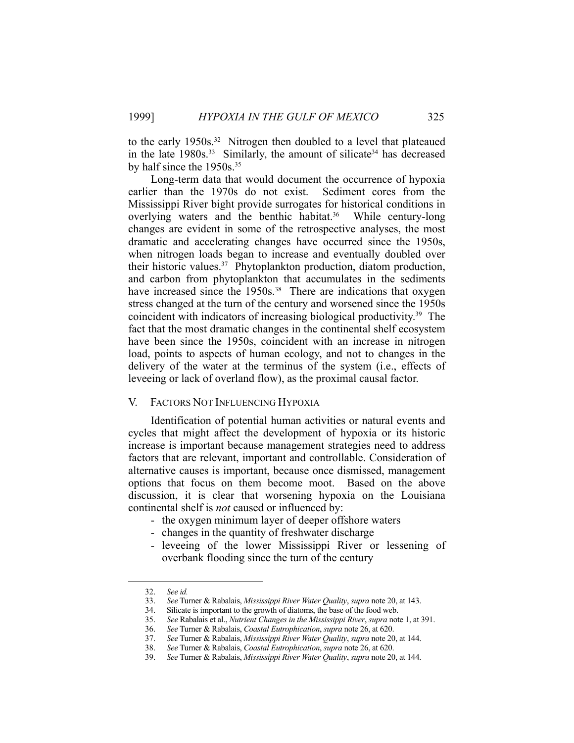to the early 1950s.<sup>32</sup> Nitrogen then doubled to a level that plateaued in the late  $1980s^{33}$  Similarly, the amount of silicate<sup>34</sup> has decreased by half since the 1950s.35

 Long-term data that would document the occurrence of hypoxia earlier than the 1970s do not exist. Sediment cores from the Mississippi River bight provide surrogates for historical conditions in overlying waters and the benthic habitat.<sup>36</sup> While century-long changes are evident in some of the retrospective analyses, the most dramatic and accelerating changes have occurred since the 1950s, when nitrogen loads began to increase and eventually doubled over their historic values.37 Phytoplankton production, diatom production, and carbon from phytoplankton that accumulates in the sediments have increased since the  $1950s$ .<sup>38</sup> There are indications that oxygen stress changed at the turn of the century and worsened since the 1950s coincident with indicators of increasing biological productivity.39 The fact that the most dramatic changes in the continental shelf ecosystem have been since the 1950s, coincident with an increase in nitrogen load, points to aspects of human ecology, and not to changes in the delivery of the water at the terminus of the system (i.e., effects of leveeing or lack of overland flow), as the proximal causal factor.

## V. FACTORS NOT INFLUENCING HYPOXIA

 Identification of potential human activities or natural events and cycles that might affect the development of hypoxia or its historic increase is important because management strategies need to address factors that are relevant, important and controllable. Consideration of alternative causes is important, because once dismissed, management options that focus on them become moot. Based on the above discussion, it is clear that worsening hypoxia on the Louisiana continental shelf is *not* caused or influenced by:

- the oxygen minimum layer of deeper offshore waters
- changes in the quantity of freshwater discharge
- leveeing of the lower Mississippi River or lessening of overbank flooding since the turn of the century

<u>.</u>

 <sup>32.</sup> *See id.*

 <sup>33.</sup> *See* Turner & Rabalais, *Mississippi River Water Quality*, *supra* note 20, at 143.

 <sup>34.</sup> Silicate is important to the growth of diatoms, the base of the food web.

 <sup>35.</sup> *See* Rabalais et al., *Nutrient Changes in the Mississippi River*, *supra* note 1, at 391.

 <sup>36.</sup> *See* Turner & Rabalais, *Coastal Eutrophication*, *supra* note 26, at 620.

 <sup>37.</sup> *See* Turner & Rabalais, *Mississippi River Water Quality*, *supra* note 20, at 144.

 <sup>38.</sup> *See* Turner & Rabalais, *Coastal Eutrophication*, *supra* note 26, at 620.

 <sup>39.</sup> *See* Turner & Rabalais, *Mississippi River Water Quality*, *supra* note 20, at 144.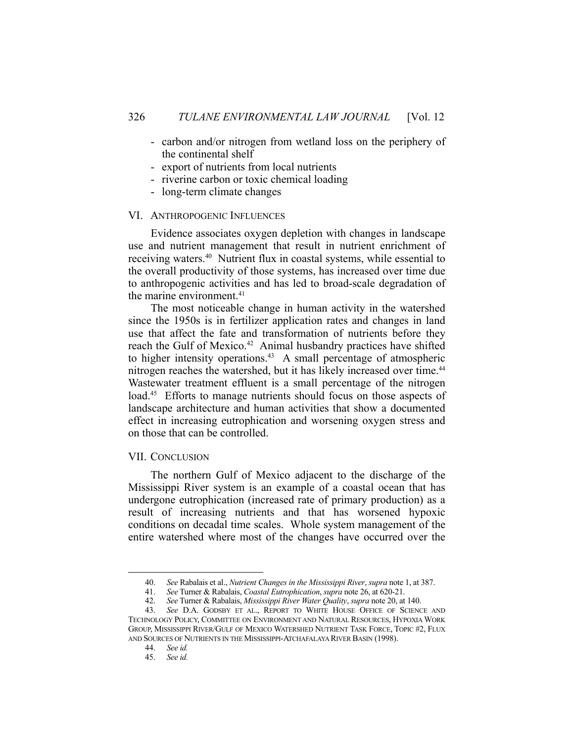- carbon and/or nitrogen from wetland loss on the periphery of the continental shelf
- export of nutrients from local nutrients
- riverine carbon or toxic chemical loading
- long-term climate changes

#### VI. ANTHROPOGENIC INFLUENCES

 Evidence associates oxygen depletion with changes in landscape use and nutrient management that result in nutrient enrichment of receiving waters.40 Nutrient flux in coastal systems, while essential to the overall productivity of those systems, has increased over time due to anthropogenic activities and has led to broad-scale degradation of the marine environment. $41$ 

 The most noticeable change in human activity in the watershed since the 1950s is in fertilizer application rates and changes in land use that affect the fate and transformation of nutrients before they reach the Gulf of Mexico.<sup>42</sup> Animal husbandry practices have shifted to higher intensity operations.<sup>43</sup> A small percentage of atmospheric nitrogen reaches the watershed, but it has likely increased over time.<sup>44</sup> Wastewater treatment effluent is a small percentage of the nitrogen load.<sup>45</sup> Efforts to manage nutrients should focus on those aspects of landscape architecture and human activities that show a documented effect in increasing eutrophication and worsening oxygen stress and on those that can be controlled.

## VII. CONCLUSION

 The northern Gulf of Mexico adjacent to the discharge of the Mississippi River system is an example of a coastal ocean that has undergone eutrophication (increased rate of primary production) as a result of increasing nutrients and that has worsened hypoxic conditions on decadal time scales. Whole system management of the entire watershed where most of the changes have occurred over the

 <sup>40.</sup> *See* Rabalais et al., *Nutrient Changes in the Mississippi River*, *supra* note 1, at 387.

 <sup>41.</sup> *See* Turner & Rabalais, *Coastal Eutrophication*, *supra* note 26, at 620-21.

 <sup>42.</sup> *See* Turner & Rabalais, *Mississippi River Water Quality*, *supra* note 20, at 140.

 <sup>43.</sup> *See* D.A. GODSBY ET AL., REPORT TO WHITE HOUSE OFFICE OF SCIENCE AND TECHNOLOGY POLICY, COMMITTEE ON ENVIRONMENT AND NATURAL RESOURCES, HYPOXIA WORK GROUP, MISSISSIPPI RIVER/GULF OF MEXICO WATERSHED NUTRIENT TASK FORCE, TOPIC #2, FLUX AND SOURCES OF NUTRIENTS IN THE MISSISSIPPI-ATCHAFALAYA RIVER BASIN (1998).

 <sup>44.</sup> *See id.*

 <sup>45.</sup> *See id.*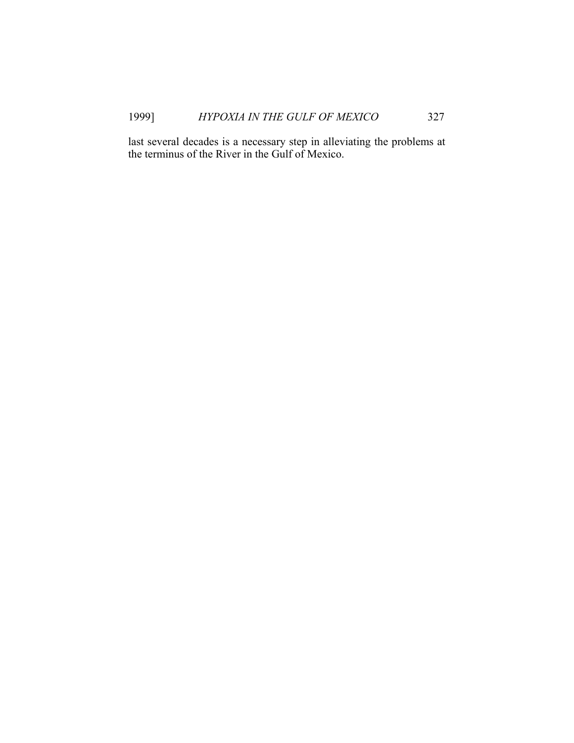last several decades is a necessary step in alleviating the problems at the terminus of the River in the Gulf of Mexico.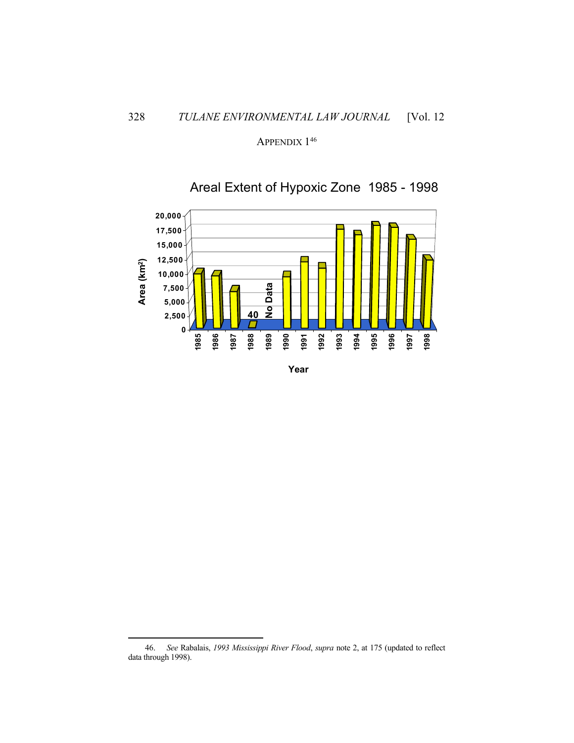APPENDIX<sup>146</sup>



Areal Extent of Hypoxic Zone 1985 - 1998

 <sup>46.</sup> *See* Rabalais, *1993 Mississippi River Flood*, *supra* note 2, at 175 (updated to reflect data through 1998).